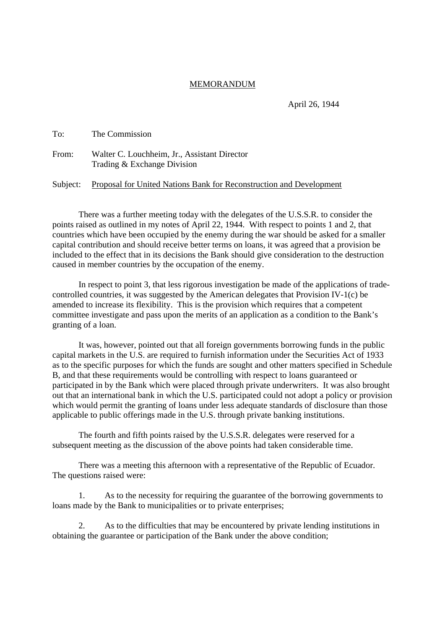## MEMORANDUM

April 26, 1944

| To:   | The Commission                                                              |
|-------|-----------------------------------------------------------------------------|
| From: | Walter C. Louchheim, Jr., Assistant Director<br>Trading & Exchange Division |

Subject: Proposal for United Nations Bank for Reconstruction and Development

There was a further meeting today with the delegates of the U.S.S.R. to consider the points raised as outlined in my notes of April 22, 1944. With respect to points 1 and 2, that countries which have been occupied by the enemy during the war should be asked for a smaller capital contribution and should receive better terms on loans, it was agreed that a provision be included to the effect that in its decisions the Bank should give consideration to the destruction caused in member countries by the occupation of the enemy.

In respect to point 3, that less rigorous investigation be made of the applications of tradecontrolled countries, it was suggested by the American delegates that Provision IV-1(c) be amended to increase its flexibility. This is the provision which requires that a competent committee investigate and pass upon the merits of an application as a condition to the Bank's granting of a loan.

It was, however, pointed out that all foreign governments borrowing funds in the public capital markets in the U.S. are required to furnish information under the Securities Act of 1933 as to the specific purposes for which the funds are sought and other matters specified in Schedule B, and that these requirements would be controlling with respect to loans guaranteed or participated in by the Bank which were placed through private underwriters. It was also brought out that an international bank in which the U.S. participated could not adopt a policy or provision which would permit the granting of loans under less adequate standards of disclosure than those applicable to public offerings made in the U.S. through private banking institutions.

The fourth and fifth points raised by the U.S.S.R. delegates were reserved for a subsequent meeting as the discussion of the above points had taken considerable time.

There was a meeting this afternoon with a representative of the Republic of Ecuador. The questions raised were:

1. As to the necessity for requiring the guarantee of the borrowing governments to loans made by the Bank to municipalities or to private enterprises;

2. As to the difficulties that may be encountered by private lending institutions in obtaining the guarantee or participation of the Bank under the above condition;